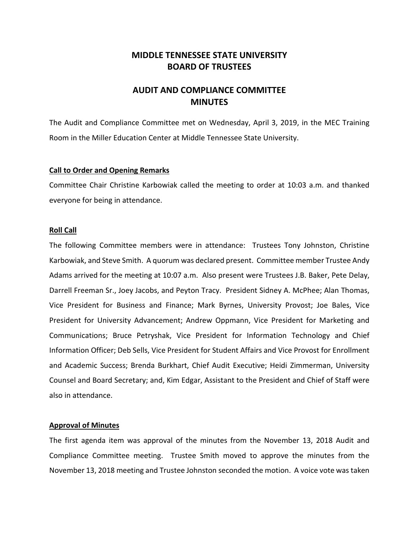## **MIDDLE TENNESSEE STATE UNIVERSITY BOARD OF TRUSTEES**

# **AUDIT AND COMPLIANCE COMMITTEE MINUTES**

The Audit and Compliance Committee met on Wednesday, April 3, 2019, in the MEC Training Room in the Miller Education Center at Middle Tennessee State University.

## **Call to Order and Opening Remarks**

Committee Chair Christine Karbowiak called the meeting to order at 10:03 a.m. and thanked everyone for being in attendance.

#### **Roll Call**

The following Committee members were in attendance: Trustees Tony Johnston, Christine Karbowiak, and Steve Smith. A quorum was declared present. Committee member Trustee Andy Adams arrived for the meeting at 10:07 a.m. Also present were Trustees J.B. Baker, Pete Delay, Darrell Freeman Sr., Joey Jacobs, and Peyton Tracy. President Sidney A. McPhee; Alan Thomas, Vice President for Business and Finance; Mark Byrnes, University Provost; Joe Bales, Vice President for University Advancement; Andrew Oppmann, Vice President for Marketing and Communications; Bruce Petryshak, Vice President for Information Technology and Chief Information Officer; Deb Sells, Vice President for Student Affairs and Vice Provost for Enrollment and Academic Success; Brenda Burkhart, Chief Audit Executive; Heidi Zimmerman, University Counsel and Board Secretary; and, Kim Edgar, Assistant to the President and Chief of Staff were also in attendance.

## **Approval of Minutes**

The first agenda item was approval of the minutes from the November 13, 2018 Audit and Compliance Committee meeting. Trustee Smith moved to approve the minutes from the November 13, 2018 meeting and Trustee Johnston seconded the motion. A voice vote was taken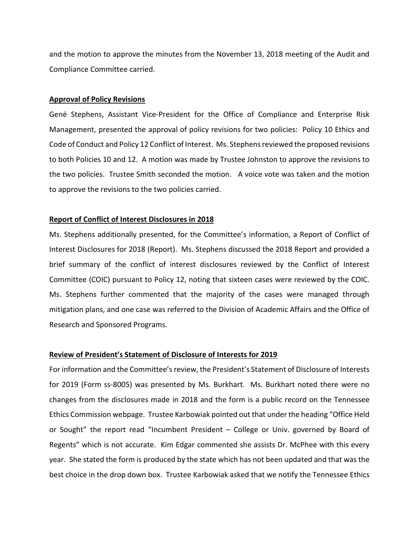and the motion to approve the minutes from the November 13, 2018 meeting of the Audit and Compliance Committee carried.

#### **Approval of Policy Revisions**

Gené Stephens, Assistant Vice-President for the Office of Compliance and Enterprise Risk Management, presented the approval of policy revisions for two policies: Policy 10 Ethics and Code of Conduct and Policy 12 Conflict of Interest. Ms. Stephens reviewed the proposed revisions to both Policies 10 and 12. A motion was made by Trustee Johnston to approve the revisions to the two policies. Trustee Smith seconded the motion. A voice vote was taken and the motion to approve the revisions to the two policies carried.

#### **Report of Conflict of Interest Disclosures in 2018**

Ms. Stephens additionally presented, for the Committee's information, a Report of Conflict of Interest Disclosures for 2018 (Report). Ms. Stephens discussed the 2018 Report and provided a brief summary of the conflict of interest disclosures reviewed by the Conflict of Interest Committee (COIC) pursuant to Policy 12, noting that sixteen cases were reviewed by the COIC. Ms. Stephens further commented that the majority of the cases were managed through mitigation plans, and one case was referred to the Division of Academic Affairs and the Office of Research and Sponsored Programs.

#### **Review of President's Statement of Disclosure of Interests for 2019**

For information and the Committee's review, the President's Statement of Disclosure of Interests for 2019 (Form ss-8005) was presented by Ms. Burkhart. Ms. Burkhart noted there were no changes from the disclosures made in 2018 and the form is a public record on the Tennessee Ethics Commission webpage. Trustee Karbowiak pointed out that under the heading "Office Held or Sought" the report read "Incumbent President – College or Univ. governed by Board of Regents" which is not accurate. Kim Edgar commented she assists Dr. McPhee with this every year. She stated the form is produced by the state which has not been updated and that was the best choice in the drop down box. Trustee Karbowiak asked that we notify the Tennessee Ethics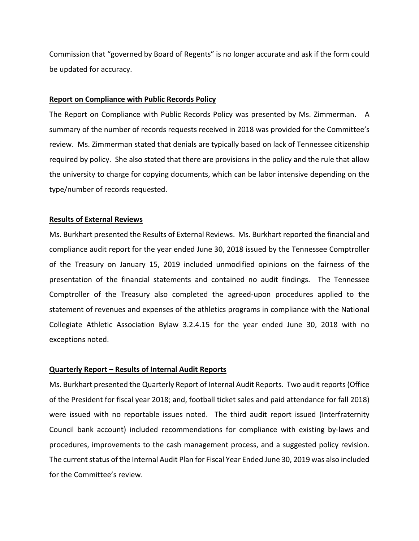Commission that "governed by Board of Regents" is no longer accurate and ask if the form could be updated for accuracy.

## **Report on Compliance with Public Records Policy**

The Report on Compliance with Public Records Policy was presented by Ms. Zimmerman. A summary of the number of records requests received in 2018 was provided for the Committee's review. Ms. Zimmerman stated that denials are typically based on lack of Tennessee citizenship required by policy. She also stated that there are provisions in the policy and the rule that allow the university to charge for copying documents, which can be labor intensive depending on the type/number of records requested.

## **Results of External Reviews**

Ms. Burkhart presented the Results of External Reviews. Ms. Burkhart reported the financial and compliance audit report for the year ended June 30, 2018 issued by the Tennessee Comptroller of the Treasury on January 15, 2019 included unmodified opinions on the fairness of the presentation of the financial statements and contained no audit findings. The Tennessee Comptroller of the Treasury also completed the agreed-upon procedures applied to the statement of revenues and expenses of the athletics programs in compliance with the National Collegiate Athletic Association Bylaw 3.2.4.15 for the year ended June 30, 2018 with no exceptions noted.

## **Quarterly Report – Results of Internal Audit Reports**

Ms. Burkhart presented the Quarterly Report of Internal Audit Reports. Two audit reports(Office of the President for fiscal year 2018; and, football ticket sales and paid attendance for fall 2018) were issued with no reportable issues noted. The third audit report issued (Interfraternity Council bank account) included recommendations for compliance with existing by-laws and procedures, improvements to the cash management process, and a suggested policy revision. The current status of the Internal Audit Plan for Fiscal Year Ended June 30, 2019 was also included for the Committee's review.